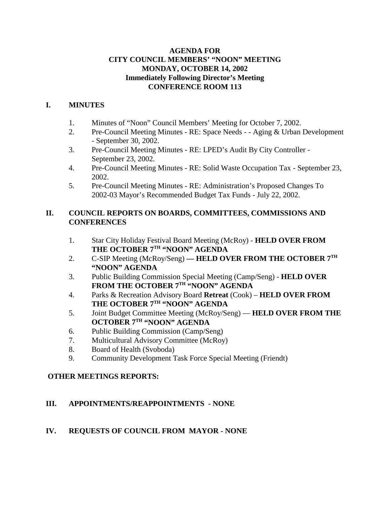## **AGENDA FOR CITY COUNCIL MEMBERS' "NOON" MEETING MONDAY, OCTOBER 14, 2002 Immediately Following Director's Meeting CONFERENCE ROOM 113**

## **I. MINUTES**

- 1. Minutes of "Noon" Council Members' Meeting for October 7, 2002.
- 2. Pre-Council Meeting Minutes RE: Space Needs - Aging & Urban Development - September 30, 2002.
- 3. Pre-Council Meeting Minutes RE: LPED's Audit By City Controller September 23, 2002.
- 4. Pre-Council Meeting Minutes RE: Solid Waste Occupation Tax September 23, 2002.
- 5. Pre-Council Meeting Minutes RE: Administration's Proposed Changes To 2002-03 Mayor's Recommended Budget Tax Funds - July 22, 2002.

## **II. COUNCIL REPORTS ON BOARDS, COMMITTEES, COMMISSIONS AND CONFERENCES**

- 1. Star City Holiday Festival Board Meeting (McRoy) **HELD OVER FROM THE OCTOBER 7TH "NOON" AGENDA**
- 2. C-SIP Meeting (McRoy/Seng) **HELD OVER FROM THE OCTOBER 7<sup>TH</sup> "NOON" AGENDA**
- 3. Public Building Commission Special Meeting (Camp/Seng) **HELD OVER** FROM THE OCTOBER 7TH "NOON" AGENDA
- 4. Parks & Recreation Advisory Board **Retreat** (Cook) **HELD OVER FROM** THE OCTOBER 7TH "NOON" AGENDA
- 5. Joint Budget Committee Meeting (McRoy/Seng) **HELD OVER FROM THE OCTOBER 7TH "NOON" AGENDA**
- 6. Public Building Commission (Camp/Seng)
- 7. Multicultural Advisory Committee (McRoy)
- 8. Board of Health (Svoboda)
- 9. Community Development Task Force Special Meeting (Friendt)

## **OTHER MEETINGS REPORTS:**

## **III. APPOINTMENTS/REAPPOINTMENTS - NONE**

## **IV. REQUESTS OF COUNCIL FROM MAYOR - NONE**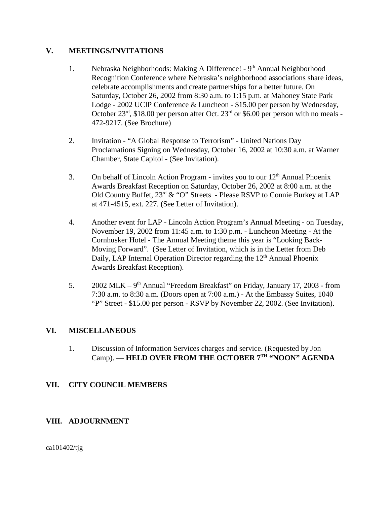### **V. MEETINGS/INVITATIONS**

- 1. Nebraska Neighborhoods: Making A Difference! 9<sup>th</sup> Annual Neighborhood Recognition Conference where Nebraska's neighborhood associations share ideas, celebrate accomplishments and create partnerships for a better future. On Saturday, October 26, 2002 from 8:30 a.m. to 1:15 p.m. at Mahoney State Park Lodge - 2002 UCIP Conference & Luncheon - \$15.00 per person by Wednesday, October  $23^{\text{rd}}$ , \$18.00 per person after Oct.  $23^{\text{rd}}$  or \$6.00 per person with no meals -472-9217. (See Brochure)
- 2. Invitation "A Global Response to Terrorism" United Nations Day Proclamations Signing on Wednesday, October 16, 2002 at 10:30 a.m. at Warner Chamber, State Capitol - (See Invitation).
- 3. On behalf of Lincoln Action Program invites you to our  $12<sup>th</sup>$  Annual Phoenix Awards Breakfast Reception on Saturday, October 26, 2002 at 8:00 a.m. at the Old Country Buffet, 23rd & "O" Streets - Please RSVP to Connie Burkey at LAP at 471-4515, ext. 227. (See Letter of Invitation).
- 4. Another event for LAP Lincoln Action Program's Annual Meeting on Tuesday, November 19, 2002 from 11:45 a.m. to 1:30 p.m. - Luncheon Meeting - At the Cornhusker Hotel - The Annual Meeting theme this year is "Looking Back-Moving Forward". (See Letter of Invitation, which is in the Letter from Deb Daily, LAP Internal Operation Director regarding the  $12<sup>th</sup>$  Annual Phoenix Awards Breakfast Reception).
- 5.  $2002 \text{ MLK} 9^{\text{th}}$  Annual "Freedom Breakfast" on Friday, January 17, 2003 from 7:30 a.m. to 8:30 a.m. (Doors open at 7:00 a.m.) - At the Embassy Suites, 1040 "P" Street - \$15.00 per person - RSVP by November 22, 2002. (See Invitation).

### **VI. MISCELLANEOUS**

1. Discussion of Information Services charges and service. (Requested by Jon Camp). — **HELD OVER FROM THE OCTOBER 7TH "NOON" AGENDA** 

### **VII. CITY COUNCIL MEMBERS**

### **VIII. ADJOURNMENT**

ca101402/tjg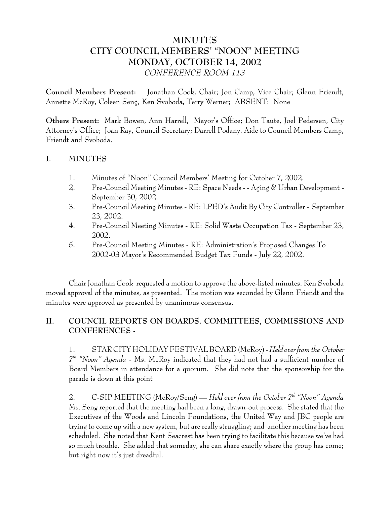# **MINUTES CITY COUNCIL MEMBERS' "NOON" MEETING MONDAY, OCTOBER 14, 2002** *CONFERENCE ROOM 113*

**Council Members Present:** Jonathan Cook, Chair; Jon Camp, Vice Chair; Glenn Friendt, Annette McRoy, Coleen Seng, Ken Svoboda, Terry Werner; ABSENT: None

**Others Present:** Mark Bowen, Ann Harrell, Mayor's Office; Don Taute, Joel Pedersen, City Attorney's Office; Joan Ray, Council Secretary; Darrell Podany, Aide to Council Members Camp, Friendt and Svoboda.

### **I. MINUTES**

- 1. Minutes of "Noon" Council Members' Meeting for October 7, 2002.
- 2. Pre-Council Meeting Minutes RE: Space Needs - Aging & Urban Development September 30, 2002.
- 3. Pre-Council Meeting Minutes RE: LPED's Audit By City Controller September 23, 2002.
- 4. Pre-Council Meeting Minutes RE: Solid Waste Occupation Tax September 23, 2002.
- 5. Pre-Council Meeting Minutes RE: Administration's Proposed Changes To 2002-03 Mayor's Recommended Budget Tax Funds - July 22, 2002.

Chair Jonathan Cook requested a motion to approve the above-listed minutes. Ken Svoboda moved approval of the minutes, as presented. The motion was seconded by Glenn Friendt and the minutes were approved as presented by unanimous consensus.

# **II. COUNCIL REPORTS ON BOARDS, COMMITTEES, COMMISSIONS AND CONFERENCES -**

1. STAR CITY HOLIDAY FESTIVAL BOARD (McRoy) - *Held over from the October 7th "Noon" Agenda* - Ms. McRoy indicated that they had not had a sufficient number of Board Members in attendance for a quorum. She did note that the sponsorship for the parade is down at this point

2. C-SIP MEETING (McRoy/Seng) **—** *Held over from the October 7th "Noon" Agenda* Ms. Seng reported that the meeting had been a long, drawn-out process. She stated that the Executives of the Woods and Lincoln Foundations, the United Way and JBC people are trying to come up with a new system, but are really struggling; and another meeting has been scheduled. She noted that Kent Seacrest has been trying to facilitate this because we've had so much trouble. She added that someday, she can share exactly where the group has come; but right now it's just dreadful.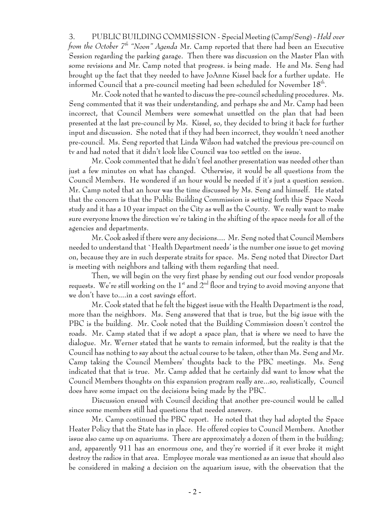3. PUBLIC BUILDING COMMISSION - Special Meeting (Camp/Seng) - *Held over from the October 7<sup>th</sup>* "Noon" Agenda Mr. Camp reported that there had been an Executive Session regarding the parking garage. Then there was discussion on the Master Plan with some revisions and Mr. Camp noted that progress. is being made. He and Ms. Seng had brought up the fact that they needed to have JoAnne Kissel back for a further update. He informed Council that a pre-council meeting had been scheduled for November 18th.

Mr. Cook noted that he wanted to discuss the pre-council scheduling procedures. Ms. Seng commented that it was their understanding, and perhaps she and Mr. Camp had been incorrect, that Council Members were somewhat unsettled on the plan that had been presented at the last pre-council by Ms. Kissel, so, they decided to bring it back for further input and discussion. She noted that if they had been incorrect, they wouldn't need another pre-council. Ms. Seng reported that Linda Wilson had watched the previous pre-council on tv and had noted that it didn't look like Council was too settled on the issue.

Mr. Cook commented that he didn't feel another presentation was needed other than just a few minutes on what has changed. Otherwise, it would be all questions from the Council Members. He wondered if an hour would be needed if it's just a question session. Mr. Camp noted that an hour was the time discussed by Ms. Seng and himself. He stated that the concern is that the Public Building Commission is setting forth this Space Needs study and it has a 10 year impact on the City as well as the County. We really want to make sure everyone knows the direction we're taking in the shifting of the space needs for all of the agencies and departments.

Mr. Cook asked if there were any decisions.... Mr. Seng noted that Council Members needed to understand that `Health Department needs' is the number one issue to get moving on, because they are in such desperate straits for space. Ms. Seng noted that Director Dart is meeting with neighbors and talking with them regarding that need.

Then, we will begin on the very first phase by sending out our food vendor proposals requests. We're still working on the  $1<sup>st</sup>$  and  $2<sup>nd</sup>$  floor and trying to avoid moving anyone that we don't have to....in a cost savings effort.

Mr. Cook stated that he felt the biggest issue with the Health Department is the road, more than the neighbors. Ms. Seng answered that that is true, but the big issue with the PBC is the building. Mr. Cook noted that the Building Commission doesn't control the roads. Mr. Camp stated that if we adopt a space plan, that is where we need to have the dialogue. Mr. Werner stated that he wants to remain informed, but the reality is that the Council has nothing to say about the actual course to be taken, other than Ms. Seng and Mr. Camp taking the Council Members' thoughts back to the PBC meetings. Ms. Seng indicated that that is true. Mr. Camp added that he certainly did want to know what the Council Members thoughts on this expansion program really are...so, realistically, Council does have some impact on the decisions being made by the PBC.

Discussion ensued with Council deciding that another pre-council would be called since some members still had questions that needed answers.

Mr. Camp continued the PBC report. He noted that they had adopted the Space Heater Policy that the State has in place. He offered copies to Council Members. Another issue also came up on aquariums. There are approximately a dozen of them in the building; and, apparently 911 has an enormous one, and they're worried if it ever broke it might destroy the radios in that area. Employee morale was mentioned as an issue that should also be considered in making a decision on the aquarium issue, with the observation that the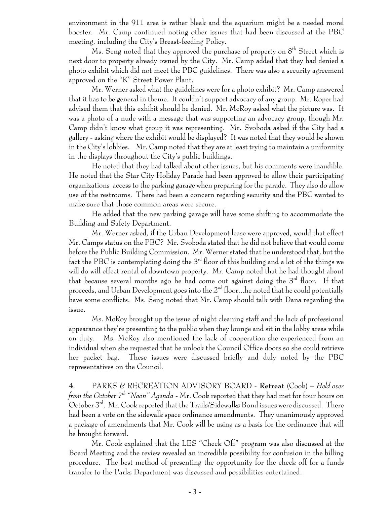environment in the 911 area is rather bleak and the aquarium might be a needed morel booster. Mr. Camp continued noting other issues that had been discussed at the PBC meeting, including the City's Breast-feeding Policy.

Ms. Seng noted that they approved the purchase of property on  $8^{th}$  Street which is next door to property already owned by the City. Mr. Camp added that they had denied a photo exhibit which did not meet the PBC guidelines. There was also a security agreement approved on the "K" Street Power Plant.

Mr. Werner asked what the guidelines were for a photo exhibit? Mr. Camp answered that it has to be general in theme. It couldn't support advocacy of any group. Mr. Roper had advised them that this exhibit should be denied. Mr. McRoy asked what the picture was. It was a photo of a nude with a message that was supporting an advocacy group, though Mr. Camp didn't know what group it was representing. Mr. Svoboda asked if the City had a gallery - asking where the exhibit would be displayed? It was noted that they would be shown in the City's lobbies. Mr. Camp noted that they are at least trying to maintain a uniformity in the displays throughout the City's public buildings.

He noted that they had talked about other issues, but his comments were inaudible. He noted that the Star City Holiday Parade had been approved to allow their participating organizations access to the parking garage when preparing for the parade. They also do allow use of the restrooms. There had been a concern regarding security and the PBC wanted to make sure that those common areas were secure.

He added that the new parking garage will have some shifting to accommodate the Building and Safety Department.

Mr. Werner asked, if the Urban Development lease were approved, would that effect Mr. Camps status on the PBC? Mr. Svoboda stated that he did not believe that would come before the Public Building Commission. Mr. Werner stated that he understood that, but the fact the PBC is contemplating doing the  $3<sup>rd</sup>$  floor of this building and a lot of the things we will do will effect rental of downtown property. Mr. Camp noted that he had thought about that because several months ago he had come out against doing the  $3<sup>rd</sup>$  floor. If that proceeds, and Urban Development goes into the  $2<sup>nd</sup>$  floor...he noted that he could potentially have some conflicts. Ms. Seng noted that Mr. Camp should talk with Dana regarding the issue.

Ms. McRoy brought up the issue of night cleaning staff and the lack of professional appearance they're presenting to the public when they lounge and sit in the lobby areas while on duty. Ms. McRoy also mentioned the lack of cooperation she experienced from an individual when she requested that he unlock the Council Office doors so she could retrieve her packet bag. These issues were discussed briefly and duly noted by the PBC representatives on the Council.

4. PARKS & RECREATION ADVISORY BOARD - **Retreat** (Cook) – *Held over from the October 7th "Noon" Agenda* - Mr. Cook reported that they had met for four hours on October 3rd. Mr. Cook reported that the Trails/Sidewalks Bond issues were discussed. There had been a vote on the sidewalk space ordinance amendments. They unanimously approved a package of amendments that Mr. Cook will be using as a basis for the ordinance that will be brought forward.

Mr. Cook explained that the LES "Check Off" program was also discussed at the Board Meeting and the review revealed an incredible possibility for confusion in the billing procedure. The best method of presenting the opportunity for the check off for a funds transfer to the Parks Department was discussed and possibilities entertained.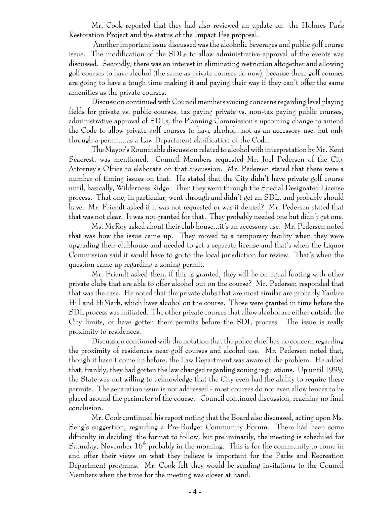Mr. Cook reported that they had also reviewed an update on the Holmes Park Restoration Project and the status of the Impact Fee proposal.

 Another important issue discussed was the alcoholic beverages and public golf course issue. The modification of the SDLs to allow administrative approval of the events was discussed. Secondly, there was an interest in eliminating restriction altogether and allowing golf courses to have alcohol (the same as private courses do now), because these golf courses are going to have a tough time making it and paying their way if they can't offer the same amenities as the private courses.

Discussion continued with Council members voicing concerns regarding level playing fields for private vs. public courses, tax paying private vs. non-tax paying public courses, administrative approval of SDLs, the Planning Commission's upcoming change to amend the Code to allow private golf courses to have alcohol...not as an accessory use, but only through a permit...as a Law Department clarification of the Code.

The Mayor's Roundtable discussion related to alcohol with interpretation by Mr. Kent Seacrest, was mentioned. Council Members requested Mr. Joel Pedersen of the City Attorney's Office to elaborate on that discussion. Mr. Pedersen stated that there were a number of timing issues on that. He stated that the City didn't have private golf course until, basically, Wilderness Ridge. Then they went through the Special Designated License process. That one, in particular, went through and didn't get an SDL, and probably should have. Mr. Friendt asked if it was not requested or was it denied? Mr. Pedersen stated that that was not clear. It was not granted for that. They probably needed one but didn't get one.

Ms. McRoy asked about their club house...it's an accessory use. Mr. Pedersen noted that was how the issue came up. They moved to a temporary facility when they were upgrading their clubhouse and needed to get a separate license and that's when the Liquor Commission said it would have to go to the local jurisdiction for review. That's when the question came up regarding a zoning permit.

Mr. Friendt asked then, if this is granted, they will be on equal footing with other private clubs that are able to offer alcohol out on the course? Mr. Pedersen responded that that was the case. He noted that the private clubs that are most similar are probably Yankee Hill and HiMark, which have alcohol on the course. Those were granted in time before the SDL process was initiated. The other private courses that allow alcohol are either outside the City limits, or have gotten their permits before the SDL process. The issue is really proximity to residences.

Discussion continued with the notation that the police chief has no concern regarding the proximity of residences near golf courses and alcohol use. Mr. Pedersen noted that, though it hasn't come up before, the Law Department was aware of the problem. He added that, frankly, they had gotten the law changed regarding zoning regulations. Up until 1999, the State was not willing to acknowledge that the City even had the ability to require these permits. The separation issue is not addressed - most courses do not even allow fences to be placed around the perimeter of the course. Council continued discussion, reaching no final conclusion.

Mr. Cook continued his report noting that the Board also discussed, acting upon Ms. Seng's suggestion, regarding a Pre-Budget Community Forum. There had been some difficulty in deciding the format to follow, but preliminarily, the meeting is scheduled for Saturday, November  $16<sup>th</sup>$  probably in the morning. This is for the community to come in and offer their views on what they believe is important for the Parks and Recreation Department programs. Mr. Cook felt they would be sending invitations to the Council Members when the time for the meeting was closer at hand.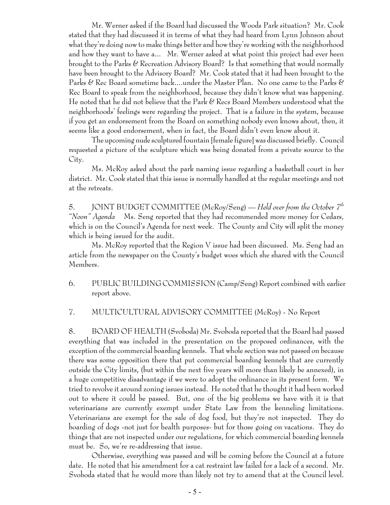Mr. Werner asked if the Board had discussed the Woods Park situation? Mr. Cook stated that they had discussed it in terms of what they had heard from Lynn Johnson about what they're doing now to make things better and how they're working with the neighborhood and how they want to have a... Mr. Werner asked at what point this project had ever been brought to the Parks & Recreation Advisory Board? Is that something that would normally have been brought to the Advisory Board? Mr. Cook stated that it had been brought to the Parks & Rec Board sometime back....under the Master Plan. No one came to the Parks & Rec Board to speak from the neighborhood, because they didn't know what was happening. He noted that he did not believe that the Park & Recs Board Members understood what the neighborhoods' feelings were regarding the project. That is a failure in the system, because if you get an endorsement from the Board on something nobody even knows about, then, it seems like a good endorsement, when in fact, the Board didn't even know about it.

The upcoming nude sculptured fountain [female figure] was discussed briefly. Council requested a picture of the sculpture which was being donated from a private source to the City.

Ms. McRoy asked about the park naming issue regarding a basketball court in her district. Mr. Cook stated that this issue is normally handled at the regular meetings and not at the retreats.

5. JOINT BUDGET COMMITTEE (McRoy/Seng) — *Held over from the October 7th "Noon" Agenda* Ms. Seng reported that they had recommended more money for Cedars, which is on the Council's Agenda for next week. The County and City will split the money which is being issued for the audit.

Ms. McRoy reported that the Region V issue had been discussed. Ms. Seng had an article from the newspaper on the County's budget woes which she shared with the Council Members.

 6. PUBLIC BUILDING COMMISSION (Camp/Seng) Report combined with earlier report above.

### 7. MULTICULTURAL ADVISORY COMMITTEE (McRoy) - No Report

8. BOARD OF HEALTH (Svoboda) Mr. Svoboda reported that the Board had passed everything that was included in the presentation on the proposed ordinances, with the exception of the commercial boarding kennels. That whole section was not passed on because there was some opposition there that put commercial boarding kennels that are currently outside the City limits, (but within the next five years will more than likely be annexed), in a huge competitive disadvantage if we were to adopt the ordinance in its present form. We tried to revolve it around zoning issues instead. He noted that he thought it had been worked out to where it could be passed. But, one of the big problems we have with it is that veterinarians are currently exempt under State Law from the kenneling limitations. Veterinarians are exempt for the sale of dog food, but they're not inspected. They do boarding of dogs -not just for health purposes- but for those going on vacations. They do things that are not inspected under our regulations, for which commercial boarding kennels must be. So, we're re-addressing that issue.

Otherwise, everything was passed and will be coming before the Council at a future date. He noted that his amendment for a cat restraint law failed for a lack of a second. Mr. Svoboda stated that he would more than likely not try to amend that at the Council level.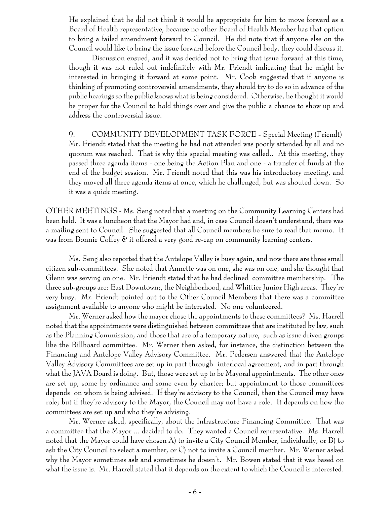He explained that he did not think it would be appropriate for him to move forward as a Board of Health representative, because no other Board of Health Member has that option to bring a failed amendment forward to Council. He did note that if anyone else on the Council would like to bring the issue forward before the Council body, they could discuss it.

Discussion ensued, and it was decided not to bring that issue forward at this time, though it was not ruled out indefinitely with Mr. Friendt indicating that he might be interested in bringing it forward at some point. Mr. Cook suggested that if anyone is thinking of promoting controversial amendments, they should try to do so in advance of the public hearings so the public knows what is being considered. Otherwise, he thought it would be proper for the Council to hold things over and give the public a chance to show up and address the controversial issue.

9. COMMUNITY DEVELOPMENT TASK FORCE - Special Meeting (Friendt) Mr. Friendt stated that the meeting he had not attended was poorly attended by all and no quorum was reached. That is why this special meeting was called.. At this meeting, they passed three agenda items - one being the Action Plan and one - a transfer of funds at the end of the budget session. Mr. Friendt noted that this was his introductory meeting, and they moved all three agenda items at once, which he challenged, but was shouted down. So it was a quick meeting.

OTHER MEETINGS - Ms. Seng noted that a meeting on the Community Learning Centers had been held. It was a luncheon that the Mayor had and, in case Council doesn't understand, there was a mailing sent to Council. She suggested that all Council members be sure to read that memo. It was from Bonnie Coffey & it offered a very good re-cap on community learning centers.

Ms. Seng also reported that the Antelope Valley is busy again, and now there are three small citizen sub-committees. She noted that Annette was on one, she was on one, and she thought that Glenn was serving on one. Mr. Friendt stated that he had declined committee membership. The three sub-groups are: East Downtown;, the Neighborhood, and Whittier Junior High areas. They're very busy. Mr. Friendt pointed out to the Other Council Members that there was a committee assignment available to anyone who might be interested. No one volunteered.

Mr. Werner asked how the mayor chose the appointments to these committees? Ms. Harrell noted that the appointments were distinguished between committees that are instituted by law, such as the Planning Commission, and those that are of a temporary nature, such as issue driven groups like the Billboard committee. Mr. Werner then asked, for instance, the distinction between the Financing and Antelope Valley Advisory Committee. Mr. Pedersen answered that the Antelope Valley Advisory Committees are set up in part through interlocal agreement, and in part through what the JAVA Board is doing. But, those were set up to be Mayoral appointments. The other ones are set up, some by ordinance and some even by charter; but appointment to those committees depends on whom is being advised. If they're advisory to the Council, then the Council may have role; but if they're advisory to the Mayor, the Council may not have a role. It depends on how the committees are set up and who they're advising.

Mr. Werner asked, specifically, about the Infrastructure Financing Committee. That was a committee that the Mayor ... decided to do. They wanted a Council representative. Ms. Harrell noted that the Mayor could have chosen A) to invite a City Council Member, individually, or B) to ask the City Council to select a member, or C) not to invite a Council member. Mr. Werner asked why the Mayor sometimes ask and sometimes he doesn't. Mr. Bowen stated that it was based on what the issue is. Mr. Harrell stated that it depends on the extent to which the Council is interested.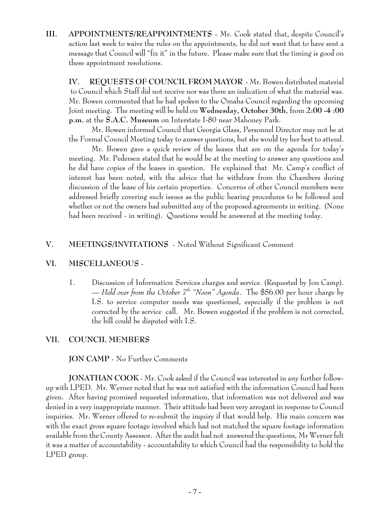**III. APPOINTMENTS/REAPPOINTMENTS** - Mr. Cook stated that, despite Council's action last week to waive the rules on the appointments, he did not want that to have sent a message that Council will "fix it" in the future. Please make sure that the timing is good on these appointment resolutions.

**IV. REQUESTS OF COUNCIL FROM MAYOR** - Mr. Bowen distributed material to Council which Staff did not receive nor was there an indication of what the material was. Mr. Bowen commented that he had spoken to the Omaha Council regarding the upcoming Joint meeting. The meeting will be held on **Wednesday, October 30th**, from **2:00 -4 :00 p.m.** at the **S.A.C. Museum** on Interstate I-80 near Mahoney Park.

Mr. Bowen informed Council that Georgia Glass, Personnel Director may not be at the Formal Council Meeting today to answer questions, but she would try her best to attend.

Mr. Bowen gave a quick review of the leases that are on the agenda for today's meeting. Mr. Pedersen stated that he would be at the meeting to answer any questions and he did have copies of the leases in question. He explained that Mr. Camp's conflict of interest has been noted, with the advice that he withdraw from the Chambers during discussion of the lease of his certain properties. Concerns of other Council members were addressed briefly covering such issues as the public hearing procedures to be followed and whether or not the owners had submitted any of the proposed agreements in writing. (None had been received - in writing). Questions would be answered at the meeting today.

## **V. MEETINGS/INVITATIONS** - Noted Without Significant Comment

### **VI. MISCELLANEOUS** -

1. Discussion of Information Services charges and service. (Requested by Jon Camp). — Held over from the October  $T^h$  "Noon" Agenda. The \$56.00 per hour charge by I.S. to service computer needs was questioned, especially if the problem is not corrected by the service call. Mr. Bowen suggested if the problem is not corrected, the bill could be disputed with I.S.

## **VII. COUNCIL MEMBERS**

## **JON CAMP** - No Further Comments

**JONATHAN COOK** - Mr. Cook asked if the Council was interested in any further followup with LPED. Mr. Werner noted that he was not satisfied with the information Council had been given. After having promised requested information, that information was not delivered and was denied in a very inappropriate manner. Their attitude had been very arrogant in response to Council inquiries. Mr. Werner offered to re-submit the inquiry if that would help. His main concern was with the exact gross square footage involved which had not matched the square footage information available from the County Assessor. After the audit had not answered the questions, Mr Werner felt it was a matter of accountability - accountability to which Council had the responsibility to hold the LPED group.